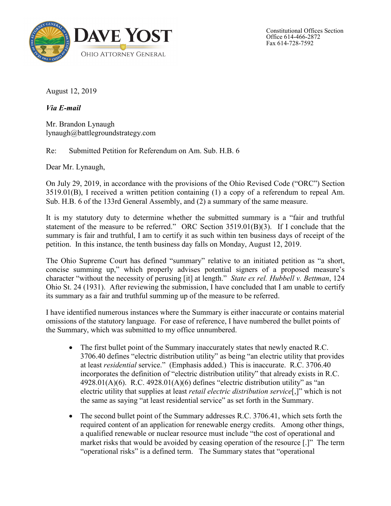

Constitutional Offices Section Office 614-466-2872 Fax 614-728-7592

August 12, 2019

*Via E-mail*

Mr. Brandon Lynaugh lynaugh@battlegroundstrategy.com

Re: Submitted Petition for Referendum on Am. Sub. H.B. 6

Dear Mr. Lynaugh,

On July 29, 2019, in accordance with the provisions of the Ohio Revised Code ("ORC") Section 3519.01(B), I received a written petition containing (1) a copy of a referendum to repeal Am. Sub. H.B. 6 of the 133rd General Assembly, and (2) a summary of the same measure.

It is my statutory duty to determine whether the submitted summary is a "fair and truthful statement of the measure to be referred." ORC Section 3519.01(B)(3). If I conclude that the summary is fair and truthful, I am to certify it as such within ten business days of receipt of the petition. In this instance, the tenth business day falls on Monday, August 12, 2019.

The Ohio Supreme Court has defined "summary" relative to an initiated petition as "a short, concise summing up," which properly advises potential signers of a proposed measure's character "without the necessity of perusing [it] at length." *State ex rel. Hubbell v. Bettman*, 124 Ohio St. 24 (1931). After reviewing the submission, I have concluded that I am unable to certify its summary as a fair and truthful summing up of the measure to be referred.

I have identified numerous instances where the Summary is either inaccurate or contains material omissions of the statutory language. For ease of reference, I have numbered the bullet points of the Summary, which was submitted to my office unnumbered.

- The first bullet point of the Summary inaccurately states that newly enacted R.C. 3706.40 defines "electric distribution utility" as being "an electric utility that provides at least *residential* service." (Emphasis added.) This is inaccurate. R.C. 3706.40 incorporates the definition of "electric distribution utility" that already exists in R.C.  $4928.01(A)(6)$ . R.C.  $4928.01(A)(6)$  defines "electric distribution utility" as "an electric utility that supplies at least *retail electric distribution service*[,]" which is not the same as saying "at least residential service" as set forth in the Summary.
- The second bullet point of the Summary addresses R.C. 3706.41, which sets forth the required content of an application for renewable energy credits. Among other things, a qualified renewable or nuclear resource must include "the cost of operational and market risks that would be avoided by ceasing operation of the resource [.]" The term "operational risks" is a defined term. The Summary states that "operational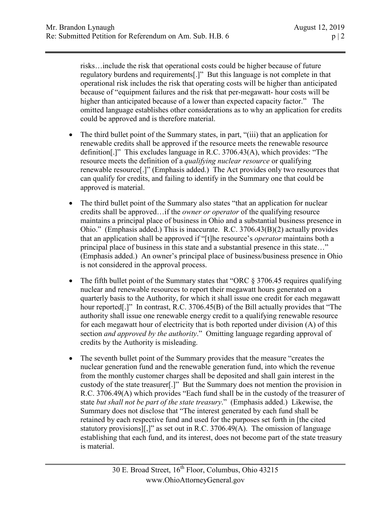risks…include the risk that operational costs could be higher because of future regulatory burdens and requirements[.]" But this language is not complete in that operational risk includes the risk that operating costs will be higher than anticipated because of "equipment failures and the risk that per-megawatt- hour costs will be higher than anticipated because of a lower than expected capacity factor." The omitted language establishes other considerations as to why an application for credits could be approved and is therefore material.

- The third bullet point of the Summary states, in part, "(iii) that an application for renewable credits shall be approved if the resource meets the renewable resource definition[.]" This excludes language in R.C. 3706.43(A), which provides: "The resource meets the definition of a *qualifying nuclear resource* or qualifying renewable resource[.]" (Emphasis added.) The Act provides only two resources that can qualify for credits, and failing to identify in the Summary one that could be approved is material.
- The third bullet point of the Summary also states "that an application for nuclear credits shall be approved…if the *owner or operator* of the qualifying resource maintains a principal place of business in Ohio and a substantial business presence in Ohio." (Emphasis added.) This is inaccurate. R.C. 3706.43(B)(2) actually provides that an application shall be approved if "[t]he resource's *operator* maintains both a principal place of business in this state and a substantial presence in this state…" (Emphasis added.) An owner's principal place of business/business presence in Ohio is not considered in the approval process.
- The fifth bullet point of the Summary states that "ORC § 3706.45 requires qualifying nuclear and renewable resources to report their megawatt hours generated on a quarterly basis to the Authority, for which it shall issue one credit for each megawatt hour reported[.]" In contrast, R.C. 3706.45(B) of the Bill actually provides that "The authority shall issue one renewable energy credit to a qualifying renewable resource for each megawatt hour of electricity that is both reported under division (A) of this section *and approved by the authority*." Omitting language regarding approval of credits by the Authority is misleading.
- The seventh bullet point of the Summary provides that the measure "creates the nuclear generation fund and the renewable generation fund, into which the revenue from the monthly customer charges shall be deposited and shall gain interest in the custody of the state treasurer[.]" But the Summary does not mention the provision in R.C. 3706.49(A) which provides "Each fund shall be in the custody of the treasurer of state *but shall not be part of the state treasury*." (Emphasis added.) Likewise, the Summary does not disclose that "The interest generated by each fund shall be retained by each respective fund and used for the purposes set forth in [the cited statutory provisions][,]" as set out in R.C. 3706.49(A). The omission of language establishing that each fund, and its interest, does not become part of the state treasury is material.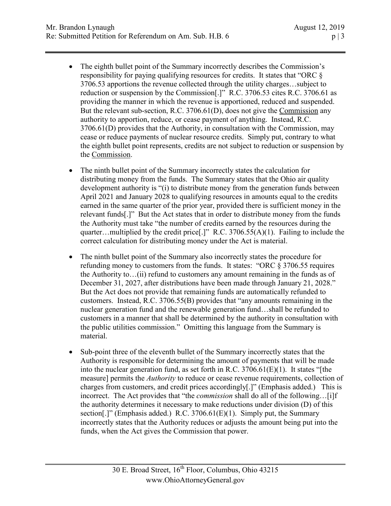- The eighth bullet point of the Summary incorrectly describes the Commission's responsibility for paying qualifying resources for credits. It states that "ORC § 3706.53 apportions the revenue collected through the utility charges…subject to reduction or suspension by the Commission[.]" R.C. 3706.53 cites R.C. 3706.61 as providing the manner in which the revenue is apportioned, reduced and suspended. But the relevant sub-section, R.C. 3706.61(D), does not give the Commission any authority to apportion, reduce, or cease payment of anything. Instead, R.C. 3706.61(D) provides that the Authority, in consultation with the Commission, may cease or reduce payments of nuclear resource credits. Simply put, contrary to what the eighth bullet point represents, credits are not subject to reduction or suspension by the Commission.
- The ninth bullet point of the Summary incorrectly states the calculation for distributing money from the funds. The Summary states that the Ohio air quality development authority is "(i) to distribute money from the generation funds between April 2021 and January 2028 to qualifying resources in amounts equal to the credits earned in the same quarter of the prior year, provided there is sufficient money in the relevant funds[.]" But the Act states that in order to distribute money from the funds the Authority must take "the number of credits earned by the resources during the quarter... multiplied by the credit price [.]"  $R.C. 3706.55(A)(1)$ . Failing to include the correct calculation for distributing money under the Act is material.
- The ninth bullet point of the Summary also incorrectly states the procedure for refunding money to customers from the funds. It states: "ORC  $\S 3706.55$  requires the Authority to…(ii) refund to customers any amount remaining in the funds as of December 31, 2027, after distributions have been made through January 21, 2028." But the Act does not provide that remaining funds are automatically refunded to customers. Instead, R.C. 3706.55(B) provides that "any amounts remaining in the nuclear generation fund and the renewable generation fund…shall be refunded to customers in a manner that shall be determined by the authority in consultation with the public utilities commission." Omitting this language from the Summary is material.
- Sub-point three of the eleventh bullet of the Summary incorrectly states that the Authority is responsible for determining the amount of payments that will be made into the nuclear generation fund, as set forth in R.C. 3706.61(E)(1). It states "[the measure] permits the *Authority* to reduce or cease revenue requirements, collection of charges from customers, and credit prices accordingly[.]" (Emphasis added.) This is incorrect. The Act provides that "the *commission* shall do all of the following…[i]f the authority determines it necessary to make reductions under division (D) of this section[.]" (Emphasis added.) R.C.  $3706.61(E)(1)$ . Simply put, the Summary incorrectly states that the Authority reduces or adjusts the amount being put into the funds, when the Act gives the Commission that power.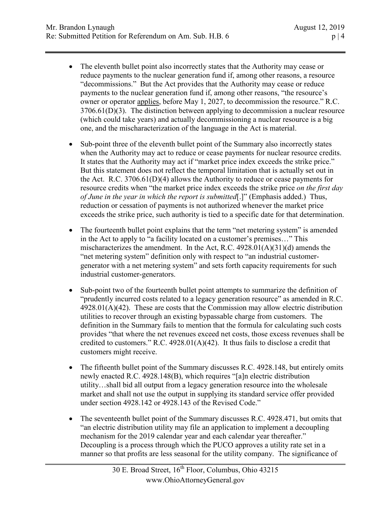- The eleventh bullet point also incorrectly states that the Authority may cease or reduce payments to the nuclear generation fund if, among other reasons, a resource "decommissions." But the Act provides that the Authority may cease or reduce payments to the nuclear generation fund if, among other reasons, "the resource's owner or operator applies, before May 1, 2027, to decommission the resource." R.C. 3706.61(D)(3). The distinction between applying to decommission a nuclear resource (which could take years) and actually decommissioning a nuclear resource is a big one, and the mischaracterization of the language in the Act is material.
- Sub-point three of the eleventh bullet point of the Summary also incorrectly states when the Authority may act to reduce or cease payments for nuclear resource credits. It states that the Authority may act if "market price index exceeds the strike price." But this statement does not reflect the temporal limitation that is actually set out in the Act. R.C. 3706.61(D)(4) allows the Authority to reduce or cease payments for resource credits when "the market price index exceeds the strike price *on the first day of June in the year in which the report is submitted*[.]" (Emphasis added.) Thus, reduction or cessation of payments is not authorized whenever the market price exceeds the strike price, such authority is tied to a specific date for that determination.
- The fourteenth bullet point explains that the term "net metering system" is amended in the Act to apply to "a facility located on a customer's premises…" This mischaracterizes the amendment. In the Act, R.C.  $4928.01(A)(31)(d)$  amends the "net metering system" definition only with respect to "an industrial customergenerator with a net metering system" and sets forth capacity requirements for such industrial customer-generators.
- Sub-point two of the fourteenth bullet point attempts to summarize the definition of "prudently incurred costs related to a legacy generation resource" as amended in R.C. 4928.01(A)(42). These are costs that the Commission may allow electric distribution utilities to recover through an existing bypassable charge from customers. The definition in the Summary fails to mention that the formula for calculating such costs provides "that where the net revenues exceed net costs, those excess revenues shall be credited to customers." R.C. 4928.01(A)(42). It thus fails to disclose a credit that customers might receive.
- The fifteenth bullet point of the Summary discusses R.C. 4928.148, but entirely omits newly enacted R.C. 4928.148(B), which requires "[a]n electric distribution utility…shall bid all output from a legacy generation resource into the wholesale market and shall not use the output in supplying its standard service offer provided under section 4928.142 or 4928.143 of the Revised Code."
- The seventeenth bullet point of the Summary discusses R.C. 4928.471, but omits that "an electric distribution utility may file an application to implement a decoupling mechanism for the 2019 calendar year and each calendar year thereafter." Decoupling is a process through which the PUCO approves a utility rate set in a manner so that profits are less seasonal for the utility company. The significance of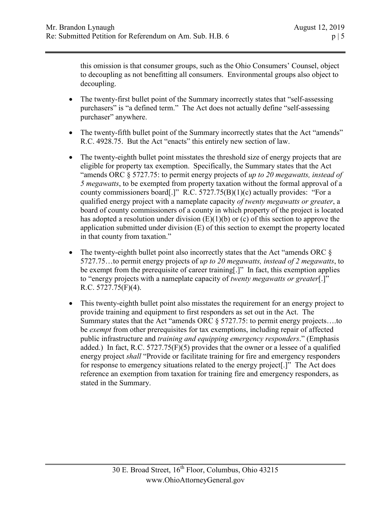this omission is that consumer groups, such as the Ohio Consumers' Counsel, object to decoupling as not benefitting all consumers. Environmental groups also object to decoupling.

- The twenty-first bullet point of the Summary incorrectly states that "self-assessing" purchasers" is "a defined term." The Act does not actually define "self-assessing purchaser" anywhere.
- The twenty-fifth bullet point of the Summary incorrectly states that the Act "amends" R.C. 4928.75. But the Act "enacts" this entirely new section of law.
- The twenty-eighth bullet point misstates the threshold size of energy projects that are eligible for property tax exemption. Specifically, the Summary states that the Act "amends ORC § 5727.75: to permit energy projects of *up to 20 megawatts, instead of 5 megawatts*, to be exempted from property taxation without the formal approval of a county commissioners board[.]" R.C. 5727.75(B)(1)(c) actually provides: "For a qualified energy project with a nameplate capacity *of twenty megawatts or greater*, a board of county commissioners of a county in which property of the project is located has adopted a resolution under division (E)(1)(b) or (c) of this section to approve the application submitted under division (E) of this section to exempt the property located in that county from taxation."
- The twenty-eighth bullet point also incorrectly states that the Act "amends ORC  $\S$ 5727.75…to permit energy projects of *up to 20 megawatts, instead of 2 megawatts*, to be exempt from the prerequisite of career training[.]" In fact, this exemption applies to "energy projects with a nameplate capacity of *twenty megawatts or greater*[.]" R.C. 5727.75(F)(4).
- This twenty-eighth bullet point also misstates the requirement for an energy project to provide training and equipment to first responders as set out in the Act. The Summary states that the Act "amends ORC § 5727.75: to permit energy projects….to be *exempt* from other prerequisites for tax exemptions, including repair of affected public infrastructure and *training and equipping emergency responders*." (Emphasis added.) In fact, R.C. 5727.75(F)(5) provides that the owner or a lessee of a qualified energy project *shall* "Provide or facilitate training for fire and emergency responders for response to emergency situations related to the energy project[.]" The Act does reference an exemption from taxation for training fire and emergency responders, as stated in the Summary.